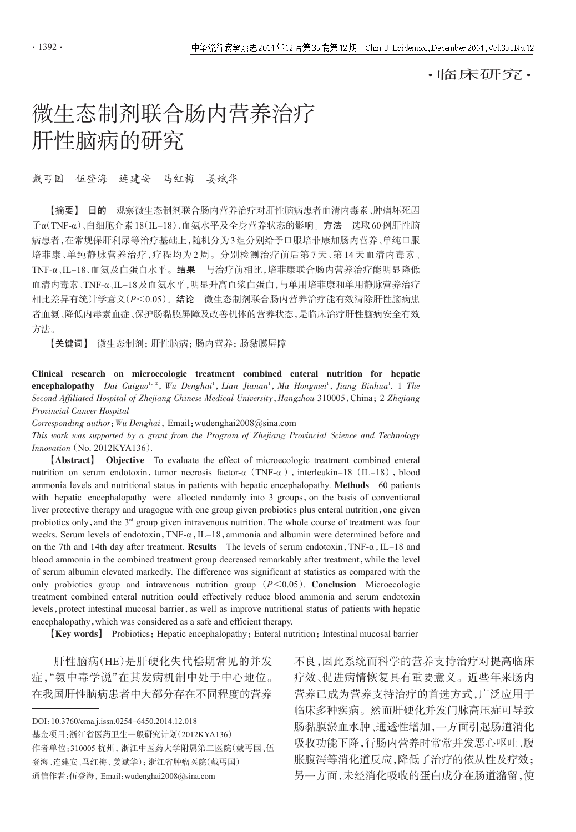## ·临床研究·

# 微生态制剂联合肠内营养治疗 肝性脑病的研究

戴丐国 伍登海 连建安 马红梅 姜斌华

【摘要】 目的 观察微生态制剂联合肠内营养治疗对肝性脑病患者血清内毒素、肿瘤坏死因 子α(TNF-α)、白细胞介素18(IL-18)、血氨水平及全身营养状态的影响。方法 选取60例肝性脑 病患者,在常规保肝利尿等治疗基础上,随机分为3组分别给予口服培菲康加肠内营养、单纯口服 培菲康、单纯静脉营养治疗,疗程均为 2 周。分别检测治疗前后第 7 天、第 14 天血清内毒素、 TNF-α、IL-18、血氨及白蛋白水平。结果 与治疗前相比,培菲康联合肠内营养治疗能明显降低 血清内毒素、TNF-α、IL-18及血氨水平,明显升高血浆白蛋白,与单用培菲康和单用静脉营养治疗 相比差异有统计学意义(P<0.05)。结论 微生态制剂联合肠内营养治疗能有效清除肝性脑病患 者血氨、降低内毒素血症、保护肠黏膜屏障及改善机体的营养状态,是临床治疗肝性脑病安全有效 方法。

【关键词】 微生态制剂;肝性脑病;肠内营养;肠黏膜屏障

Clinical research on microecologic treatment combined enteral nutrition for hepatic encephalopathy Dai Gaiguo<sup>1, 2</sup>, Wu Denghai<sup>1</sup>, Lian Jianan<sup>1</sup>, Ma Hongmei<sup>1</sup>, Jiang Binhua<sup>1</sup>. 1 The Second Affiliated Hospital of Zhejiang Chinese Medical University, Hangzhou 310005, China; 2 Zhejiang Provincial Cancer Hospital

Corresponding author: Wu Denghai, Email: wudenghai2008@sina.com

This work was supported by a grant from the Program of Zhejiang Provincial Science and Technology Innovation(No. 2012KYA136).

【Abstract】 Objective To evaluate the effect of microecologic treatment combined enteral nutrition on serum endotoxin, tumor necrosis factor-α (TNF-α), interleukin-18 (IL-18), blood ammonia levels and nutritional status in patients with hepatic encephalopathy. Methods 60 patients with hepatic encephalopathy were allocted randomly into 3 groups, on the basis of conventional liver protective therapy and uragogue with one group given probiotics plus enteral nutrition,one given probiotics only, and the  $3<sup>rd</sup>$  group given intravenous nutrition. The whole course of treatment was four weeks. Serum levels of endotoxin, TNF-α, IL-18, ammonia and albumin were determined before and on the 7th and 14th day after treatment. Results The levels of serum endotoxin, TNF- $\alpha$ , IL-18 and blood ammonia in the combined treatment group decreased remarkably after treatment, while the level of serum albumin elevated markedly. The difference was significant at statistics as compared with the only probiotics group and intravenous nutrition group  $(P<0.05)$ . Conclusion Microecologic treatment combined enteral nutrition could effectively reduce blood ammonia and serum endotoxin levels, protect intestinal mucosal barrier, as well as improve nutritional status of patients with hepatic encephalopathy,which was considered as a safe and efficient therapy.

【Key words】 Probiotics;Hepatic encephalopathy;Enteral nutrition;Intestinal mucosal barrier

肝性脑病(HE)是肝硬化失代偿期常见的并发 症,"氨中毒学说"在其发病机制中处于中心地位。 在我国肝性脑病患者中大部分存在不同程度的营养

DOI:10.3760/cma.j.issn.0254-6450.2014.12.018

基金项目:浙江省医药卫生一般研究计划(2012KYA136)

作者单位:310005 杭州,浙江中医药大学附属第二医院(戴丐国、伍 登海、连建安、马红梅、姜斌华);浙江省肿瘤医院(戴丐国)

通信作者:伍登海,Email:wudenghai2008@sina.com

不良,因此系统而科学的营养支持治疗对提高临床 疗效、促进病情恢复具有重要意义。近些年来肠内 营养已成为营养支持治疗的首选方式,广泛应用于 临床多种疾病。然而肝硬化并发门脉高压症可导致 肠黏膜淤血水肿、通透性增加,一方面引起肠道消化 吸收功能下降,行肠内营养时常常并发恶心呕吐、腹 胀腹泻等消化道反应,降低了治疗的依从性及疗效; 另一方面,未经消化吸收的蛋白成分在肠道潴留,使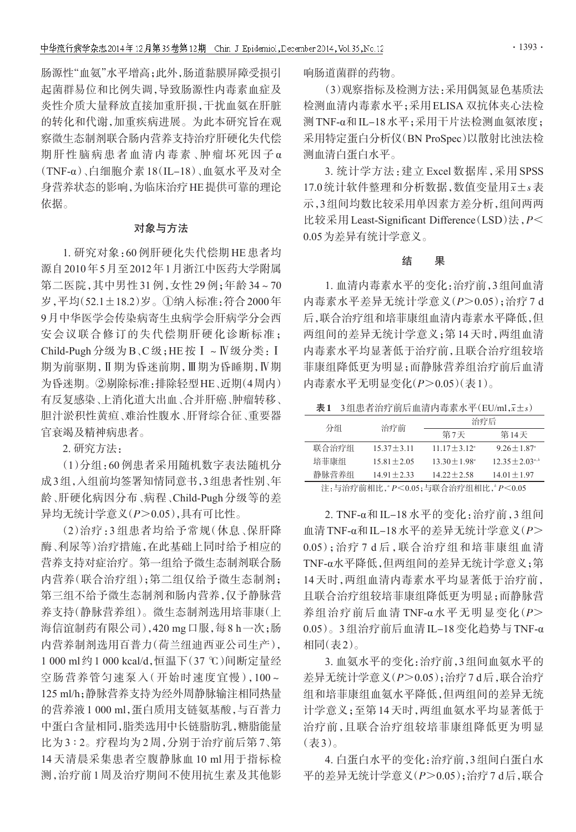肠源性"血氨"水平增高;此外,肠道黏膜屏障受损引 起菌群易位和比例失调,导致肠源性内毒素血症及 炎性介质大量释放直接加重肝损,干扰血氨在肝脏 的转化和代谢,加重疾病进展。为此本研究旨在观 察微生态制剂联合肠内营养支持治疗肝硬化失代偿 期肝性脑病患者血清内毒素、肿瘤坏死因子α (TNF-α)、白细胞介素 18(IL-18)、血氨水平及对全 身营养状态的影响,为临床治疗HE提供可靠的理论 依据。

#### 对象与方法

1. 研究对象:60 例肝硬化失代偿期 HE 患者均 源自2010年5月至2012年1月浙江中医药大学附属 第二医院,其中男性 31 例,女性 29 例;年龄 34~70 岁,平均(52.1±18.2)岁。①纳入标准:符合2000年 9月中华医学会传染病寄生虫病学会肝病学分会西 安会议联合修订的失代偿期肝硬化诊断标准; Child-Pugh 分级为 B、C 级;HE 按Ⅰ~Ⅳ级分类:Ⅰ 期为前驱期,Ⅱ期为昏迷前期,Ⅲ期为昏睡期,Ⅳ期 为昏迷期。②剔除标准:排除轻型HE、近期(4周内) 有反复感染、上消化道大出血、合并肝癌、肿瘤转移、 胆汁淤积性黄疸、难治性腹水、肝肾综合征、重要器 官衰竭及精神病患者。

2. 研究方法:

(1)分组:60 例患者采用随机数字表法随机分 成3组,入组前均签署知情同意书,3组患者性别、年 龄、肝硬化病因分布、病程、Child-Pugh 分级等的差 异均无统计学意义(P>0.05),具有可比性。

(2)治疗:3 组患者均给予常规(休息、保肝降 酶、利尿等)治疗措施,在此基础上同时给予相应的 营养支持对症治疗。第一组给予微生态制剂联合肠 内营养(联合治疗组);第二组仅给予微生态制剂; 第三组不给予微生态制剂和肠内营养,仅予静脉营 养支持(静脉营养组)。微生态制剂选用培菲康(上 海信谊制药有限公司),420 mg口服,每8 h一次;肠 内营养制剂选用百普力(荷兰纽迪西亚公司生产), 1 000 ml约1 000 kcal/d,恒温下(37 ℃)间断定量经 空肠营养管匀速泵入(开始时速度宜慢),100~ 125 ml/h;静脉营养支持为经外周静脉输注相同热量 的营养液1 000 ml,蛋白质用支链氨基酸,与百普力 中蛋白含量相同,脂类选用中长链脂肪乳,糖脂能量 比为3:2。疗程均为2周,分别于治疗前后第7、第 14 天清晨采集患者空腹静脉血 10 ml 用于指标检 测,治疗前1周及治疗期间不使用抗生素及其他影 响肠道菌群的药物。

(3)观察指标及检测方法:采用偶氮显色基质法 检测血清内毒素水平;采用ELISA 双抗体夹心法检 测TNF-α和IL-18水平;采用干片法检测血氨浓度; 采用特定蛋白分析仪(BN ProSpec)以散射比浊法检 测血清白蛋白水平。

3. 统计学方法:建立 Excel 数据库,采用 SPSS 17.0统计软件整理和分析数据,数值变量用x±s表 示,3组间均数比较采用单因素方差分析,组间两两 比较采用 Least-Significant Difference (LSD)法,  $P$ < 0.05为差异有统计学意义。

#### 结 果

1. 血清内毒素水平的变化:治疗前,3组间血清 内毒素水平差异无统计学意义(P>0.05);治疗 7 d 后,联合治疗组和培菲康组血清内毒素水平降低,但 两组间的差异无统计学意义;第14天时,两组血清 内毒素水平均显著低于治疗前,且联合治疗组较培 菲康组降低更为明显;而静脉营养组治疗前后血清 内毒素水平无明显变化(P>0.05)(表1)。

 $\overline{x}$ 1 3组患者治疗前后血清内毒素水平(EU/ml, $\overline{x}$ ±s)

| 分组    | 治疗前            | 治疗后                      |                              |  |
|-------|----------------|--------------------------|------------------------------|--|
|       |                | 第7天                      | 第14天                         |  |
| 联合治疗组 | $15.37 + 3.11$ | $11\ 17 + 3\ 12^{\circ}$ | $9.26 \pm 1.87$ <sup>a</sup> |  |
| 培菲康组  | $15.81 + 2.05$ | $13.30 + 1.98^{\circ}$   | $12.35 + 2.03^{a,b}$         |  |
| 静脉营养组 | $14.91 + 2.33$ | $14.22 + 2.58$           | $14.01 + 1.97$               |  |
|       |                |                          |                              |  |

注:与治疗前相比," $P < 0.05$ ;与联合治疗组相比,  $P < 0.05$ 

2. TNF-α和 IL-18 水平的变化:治疗前,3 组间 血清TNF-α和IL-18水平的差异无统计学意义(P> 0.05);治疗 7 d 后,联合治疗组和培菲康组血清 TNF-α水平降低,但两组间的差异无统计学意义;第 14 天时,两组血清内毒素水平均显著低于治疗前, 且联合治疗组较培菲康组降低更为明显;而静脉营 养组治疗前后血清 TNF-α水平无明显变化(P> 0.05)。3组治疗前后血清IL-18变化趋势与TNF-α 相同(表2)。

3. 血氨水平的变化:治疗前,3组间血氨水平的 差异无统计学意义(P>0.05);治疗7 d后,联合治疗 组和培菲康组血氨水平降低,但两组间的差异无统 计学意义;至第14天时,两组血氨水平均显著低于 治疗前,且联合治疗组较培菲康组降低更为明显 (表3)。

4. 白蛋白水平的变化:治疗前,3组间白蛋白水 平的差异无统计学意义(P>0.05);治疗7 d后,联合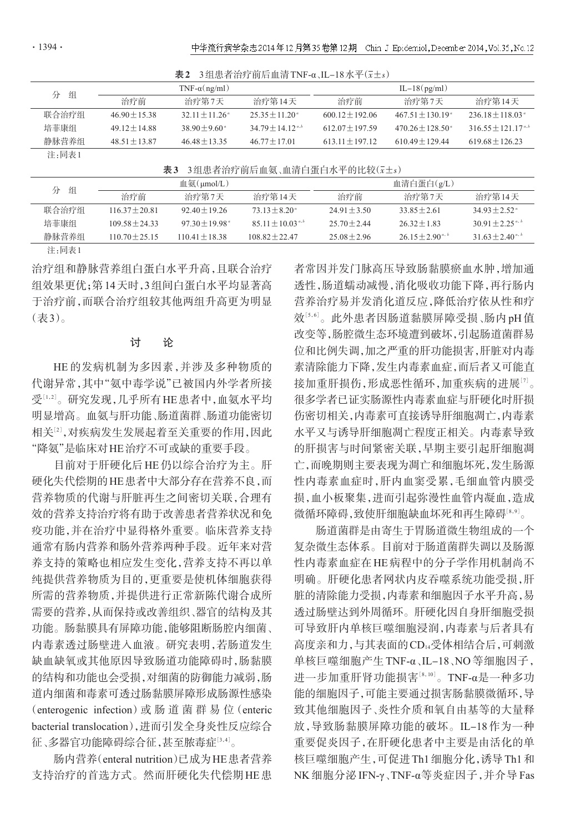|       |                 | $\sim$ $\sim$           |                         | $\frac{1}{2}$ $\frac{1}{2}$ $\frac{1}{2}$ $\frac{1}{2}$ $\frac{1}{2}$ $\frac{1}{2}$ $\frac{1}{2}$ $\frac{1}{2}$ $\frac{1}{2}$ $\frac{1}{2}$ $\frac{1}{2}$ $\frac{1}{2}$ $\frac{1}{2}$ $\frac{1}{2}$ $\frac{1}{2}$ $\frac{1}{2}$ $\frac{1}{2}$ $\frac{1}{2}$ $\frac{1}{2}$ $\frac{1}{2}$ $\frac{1}{2}$ $\frac{1}{2}$ |                             |                                  |
|-------|-----------------|-------------------------|-------------------------|---------------------------------------------------------------------------------------------------------------------------------------------------------------------------------------------------------------------------------------------------------------------------------------------------------------------|-----------------------------|----------------------------------|
| 分 组   |                 | $TNF-\alpha(ng/ml)$     |                         |                                                                                                                                                                                                                                                                                                                     | $IL-18(pg/ml)$              |                                  |
|       | 治疗前             | 治疗第7天                   | 治疗第14天                  | 治疗前                                                                                                                                                                                                                                                                                                                 | 治疗第7天                       | 治疗第14天                           |
| 联合治疗组 | $46.90 + 15.38$ | $32.11 + 11.26^{\circ}$ | $25.35 + 11.20^{\circ}$ | $600.12 + 192.06$                                                                                                                                                                                                                                                                                                   | $467.51 + 130.19^{\circ}$   | $236.18 \pm 118.03$ <sup>a</sup> |
| 培菲康组  | $49.12 + 14.88$ | $38.90 + 9.60^{\circ}$  | $34.79 + 14.12^{a,b}$   | $612.07 + 197.59$                                                                                                                                                                                                                                                                                                   | $470.26 \pm 128.50^{\circ}$ | $316.55 + 121.17^{a,b}$          |
| 静脉营养组 | $48.51 + 13.87$ | $46.48 + 13.35$         | $46.77 + 17.01$         | $613.11 + 197.12$                                                                                                                                                                                                                                                                                                   | $610.49 + 129.44$           | $619.68 + 126.23$                |
| 注:同表1 |                 |                         |                         |                                                                                                                                                                                                                                                                                                                     |                             |                                  |

| 表2 3组患者治疗前后血清 TNF-α、IL-18 水平( $\bar{x}$ ±s) |  |
|---------------------------------------------|--|
|                                             |  |

 $\overline{x}$ 3 3组患者治疗前后血氨、血清白蛋白水平的比较 $(\overline{x} \pm s)$ 

| 分 组  | 血氨( $\mu$ mol/L) |                  | 血清白蛋白(g/L)                   |                         |                |                  |                      |
|------|------------------|------------------|------------------------------|-------------------------|----------------|------------------|----------------------|
|      | 治疗前              | 治疗第7天            | 治疗第14天                       | 治疗前                     | 治疗第7天          | 治疗第14天           |                      |
|      | 联合治疗组            | $11637 + 2081$   | $92.40 + 19.26$              | $73.13 + 8.20^{\circ}$  | $2491 + 350$   | $33.85 + 2.61$   | $3493 + 252^{\circ}$ |
| 培菲康组 |                  | $109.58 + 24.33$ | $97.30 + 19.98$ <sup>a</sup> | $85.11 \pm 10.03^{a,b}$ | $2570 + 244$   | $2632+183$       | $30.91 + 2.25^{a,b}$ |
|      | 静脉营养组            | $110.70 + 25.15$ | $11041 + 1838$               | $108.82 + 22.47$        | $25.08 + 2.96$ | $2615+290^{a,b}$ | $31.63 + 2.40^{a,b}$ |
|      |                  |                  |                              |                         |                |                  |                      |

注:同表1

治疗组和静脉营养组白蛋白水平升高,且联合治疗 组效果更优;第14天时,3组间白蛋白水平均显著高 于治疗前,而联合治疗组较其他两组升高更为明显 (表3)。

### 讨 论

HE 的发病机制为多因素,并涉及多种物质的 代谢异常,其中"氨中毒学说"已被国内外学者所接 受[1,2]。研究发现,几乎所有 HE 患者中,血氨水平均 明显增高。血氨与肝功能、肠道菌群、肠道功能密切 相关[<sup>2</sup>] ,对疾病发生发展起着至关重要的作用,因此 "降氨"是临床对HE治疗不可或缺的重要手段。

目前对于肝硬化后HE仍以综合治疗为主。肝 硬化失代偿期的HE患者中大部分存在营养不良,而 营养物质的代谢与肝脏再生之间密切关联,合理有 效的营养支持治疗将有助于改善患者营养状况和免 疫功能,并在治疗中显得格外重要。临床营养支持 通常有肠内营养和肠外营养两种手段。近年来对营 养支持的策略也相应发生变化,营养支持不再以单 纯提供营养物质为目的,更重要是使机体细胞获得 所需的营养物质,并提供进行正常新陈代谢合成所 需要的营养,从而保持或改善组织、器官的结构及其 功能。肠黏膜具有屏障功能,能够阻断肠腔内细菌、 内毒素透过肠壁进入血液。研究表明,若肠道发生 缺血缺氧或其他原因导致肠道功能障碍时,肠黏膜 的结构和功能也会受损,对细菌的防御能力减弱,肠 道内细菌和毒素可透过肠黏膜屏障形成肠源性感染 (enterogenic infection)或 肠 道 菌 群 易 位(enteric bacterial translocation),进而引发全身炎性反应综合 征、多器官功能障碍综合征,甚至脓毒症[3,4]。

肠内营养(enteral nutrition)已成为HE患者营养 支持治疗的首选方式。然而肝硬化失代偿期HE患 者常因并发门脉高压导致肠黏膜瘀血水肿,增加通 透性,肠道蠕动减慢,消化吸收功能下降,再行肠内 营养治疗易并发消化道反应,降低治疗依从性和疗 效½6.6'。此外患者因肠道黏膜屏障受损﹑肠内 pH 值 改变等,肠腔微生态环境遭到破坏,引起肠道菌群易 位和比例失调,加之严重的肝功能损害,肝脏对内毒 素清除能力下降,发生内毒素血症,而后者又可能直 接加重肝损伤,形成恶性循环,加重疾病的进展[7]。 很多学者已证实肠源性内毒素血症与肝硬化时肝损 伤密切相关,内毒素可直接诱导肝细胞凋亡,内毒素 水平又与诱导肝细胞凋亡程度正相关。内毒素导致 的肝损害与时间紧密关联,早期主要引起肝细胞凋 亡,而晚期则主要表现为凋亡和细胞坏死,发生肠源 性内毒素血症时,肝内血窦受累,毛细血管内膜受 损,血小板聚集,进而引起弥漫性血管内凝血,造成 微循环障碍,致使肝细胞缺血坏死和再生障碍 $^{\text{[8,9]}}$ 。

肠道菌群是由寄生于胃肠道微生物组成的一个 复杂微生态体系。目前对于肠道菌群失调以及肠源 性内毒素血症在HE病程中的分子学作用机制尚不 明确。肝硬化患者网状内皮吞噬系统功能受损,肝 脏的清除能力受损,内毒素和细胞因子水平升高,易 透过肠壁达到外周循环。肝硬化因自身肝细胞受损 可导致肝内单核巨噬细胞浸润,内毒素与后者具有 高度亲和力,与其表面的CD14受体相结合后,可刺激 单核巨噬细胞产生TNF-α、IL-18、NO等细胞因子, 进一步加重肝肾功能损害[<sup>8</sup>,10] 。TNF-α是一种多功 能的细胞因子,可能主要通过损害肠黏膜微循环,导 致其他细胞因子、炎性介质和氧自由基等的大量释 放,导致肠黏膜屏障功能的破坏。IL-18 作为一种 重要促炎因子,在肝硬化患者中主要是由活化的单 核巨噬细胞产生,可促进Th1细胞分化,诱导Th1和 NK 细胞分泌 IFN-γ、TNF-α等炎症因子,并介导 Fas